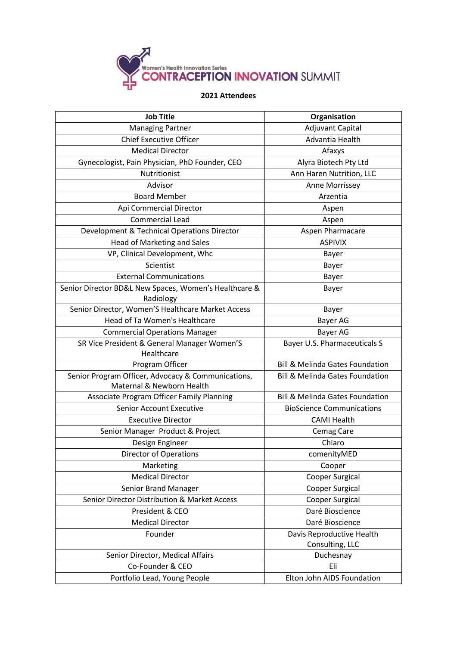

## **2021 Attendees**

| <b>Job Title</b>                                                   | Organisation                               |
|--------------------------------------------------------------------|--------------------------------------------|
| <b>Managing Partner</b>                                            | Adjuvant Capital                           |
| <b>Chief Executive Officer</b>                                     | Advantia Health                            |
| <b>Medical Director</b>                                            | Afaxys                                     |
| Gynecologist, Pain Physician, PhD Founder, CEO                     | Alyra Biotech Pty Ltd                      |
| Nutritionist                                                       | Ann Haren Nutrition, LLC                   |
| Advisor                                                            | Anne Morrissey                             |
| <b>Board Member</b>                                                | Arzentia                                   |
| Api Commercial Director                                            | Aspen                                      |
| Commercial Lead                                                    | Aspen                                      |
| Development & Technical Operations Director                        | Aspen Pharmacare                           |
| <b>Head of Marketing and Sales</b>                                 | <b>ASPIVIX</b>                             |
| VP, Clinical Development, Whc                                      | Bayer                                      |
| Scientist                                                          | Bayer                                      |
| <b>External Communications</b>                                     | Bayer                                      |
| Senior Director BD&L New Spaces, Women's Healthcare &<br>Radiology | Bayer                                      |
| Senior Director, Women'S Healthcare Market Access                  | Bayer                                      |
| <b>Head of Ta Women's Healthcare</b>                               | Bayer AG                                   |
| <b>Commercial Operations Manager</b>                               | Bayer AG                                   |
| SR Vice President & General Manager Women'S                        | Bayer U.S. Pharmaceuticals S               |
| Healthcare                                                         |                                            |
| Program Officer                                                    | <b>Bill &amp; Melinda Gates Foundation</b> |
| Senior Program Officer, Advocacy & Communications,                 | <b>Bill &amp; Melinda Gates Foundation</b> |
| Maternal & Newborn Health                                          |                                            |
| <b>Associate Program Officer Family Planning</b>                   | <b>Bill &amp; Melinda Gates Foundation</b> |
| <b>Senior Account Executive</b>                                    | <b>BioScience Communications</b>           |
| <b>Executive Director</b>                                          | <b>CAMI Health</b>                         |
| Senior Manager Product & Project                                   | Cemag Care                                 |
| Design Engineer                                                    | Chiaro                                     |
| Director of Operations                                             | comenityMED                                |
| Marketing                                                          | Cooper                                     |
| <b>Medical Director</b>                                            | Cooper Surgical                            |
| Senior Brand Manager                                               | Cooper Surgical                            |
| Senior Director Distribution & Market Access                       | <b>Cooper Surgical</b>                     |
| President & CEO                                                    | Daré Bioscience                            |
| <b>Medical Director</b>                                            | Daré Bioscience                            |
| Founder                                                            | Davis Reproductive Health                  |
|                                                                    | Consulting, LLC                            |
| Senior Director, Medical Affairs                                   | Duchesnay                                  |
| Co-Founder & CEO                                                   | Eli                                        |
| Portfolio Lead, Young People                                       | Elton John AIDS Foundation                 |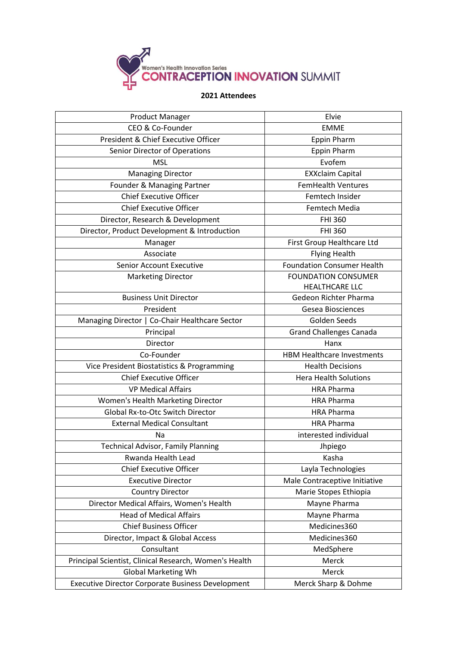

## **2021 Attendees**

| <b>Product Manager</b>                                   | Elvie                                               |
|----------------------------------------------------------|-----------------------------------------------------|
| CEO & Co-Founder                                         | <b>EMME</b>                                         |
| President & Chief Executive Officer                      | <b>Eppin Pharm</b>                                  |
| Senior Director of Operations                            | <b>Eppin Pharm</b>                                  |
| <b>MSL</b>                                               | Evofem                                              |
| <b>Managing Director</b>                                 | <b>EXXclaim Capital</b>                             |
| Founder & Managing Partner                               | <b>FemHealth Ventures</b>                           |
| <b>Chief Executive Officer</b>                           | Femtech Insider                                     |
| <b>Chief Executive Officer</b>                           | Femtech Media                                       |
| Director, Research & Development                         | <b>FHI 360</b>                                      |
| Director, Product Development & Introduction             | <b>FHI 360</b>                                      |
| Manager                                                  | First Group Healthcare Ltd                          |
| Associate                                                | <b>Flying Health</b>                                |
| <b>Senior Account Executive</b>                          | <b>Foundation Consumer Health</b>                   |
| <b>Marketing Director</b>                                | <b>FOUNDATION CONSUMER</b><br><b>HEALTHCARE LLC</b> |
| <b>Business Unit Director</b>                            | Gedeon Richter Pharma                               |
| President                                                | Gesea Biosciences                                   |
| Managing Director   Co-Chair Healthcare Sector           | Golden Seeds                                        |
| Principal                                                | <b>Grand Challenges Canada</b>                      |
| Director                                                 | Hanx                                                |
| Co-Founder                                               | <b>HBM Healthcare Investments</b>                   |
| Vice President Biostatistics & Programming               | <b>Health Decisions</b>                             |
| <b>Chief Executive Officer</b>                           | <b>Hera Health Solutions</b>                        |
| <b>VP Medical Affairs</b>                                | <b>HRA Pharma</b>                                   |
| Women's Health Marketing Director                        | <b>HRA Pharma</b>                                   |
| Global Rx-to-Otc Switch Director                         | <b>HRA Pharma</b>                                   |
| <b>External Medical Consultant</b>                       | <b>HRA Pharma</b>                                   |
| Na                                                       | interested individual                               |
| <b>Technical Advisor, Family Planning</b>                | Jhpiego                                             |
| Rwanda Health Lead                                       | Kasha                                               |
| <b>Chief Executive Officer</b>                           | Layla Technologies                                  |
| <b>Executive Director</b>                                | Male Contraceptive Initiative                       |
| <b>Country Director</b>                                  | Marie Stopes Ethiopia                               |
| Director Medical Affairs, Women's Health                 | Mayne Pharma                                        |
| <b>Head of Medical Affairs</b>                           | Mayne Pharma                                        |
| <b>Chief Business Officer</b>                            | Medicines360                                        |
| Director, Impact & Global Access                         | Medicines360                                        |
| Consultant                                               | MedSphere                                           |
| Principal Scientist, Clinical Research, Women's Health   | Merck                                               |
| <b>Global Marketing Wh</b>                               | Merck                                               |
| <b>Executive Director Corporate Business Development</b> | Merck Sharp & Dohme                                 |